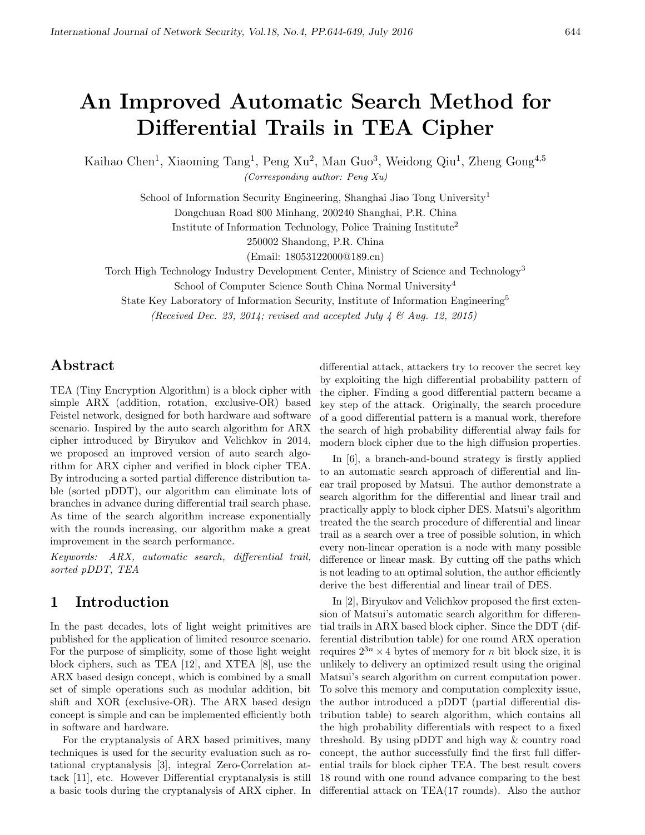# An Improved Automatic Search Method for Differential Trails in TEA Cipher

Kaihao Chen<sup>1</sup>, Xiaoming Tang<sup>1</sup>, Peng Xu<sup>2</sup>, Man Guo<sup>3</sup>, Weidong Qiu<sup>1</sup>, Zheng Gong<sup>4,5</sup>

(Corresponding author: Peng Xu)

School of Information Security Engineering, Shanghai Jiao Tong University<sup>1</sup> Dongchuan Road 800 Minhang, 200240 Shanghai, P.R. China

Institute of Information Technology, Police Training Institute<sup>2</sup>

250002 Shandong, P.R. China

(Email: 18053122000@189.cn)

Torch High Technology Industry Development Center, Ministry of Science and Technology<sup>3</sup>

School of Computer Science South China Normal University<sup>4</sup>

State Key Laboratory of Information Security, Institute of Information Engineering<sup>5</sup>

(Received Dec. 23, 2014; revised and accepted July 4  $\mathcal{E}$  Aug. 12, 2015)

# Abstract

TEA (Tiny Encryption Algorithm) is a block cipher with simple ARX (addition, rotation, exclusive-OR) based Feistel network, designed for both hardware and software scenario. Inspired by the auto search algorithm for ARX cipher introduced by Biryukov and Velichkov in 2014, we proposed an improved version of auto search algorithm for ARX cipher and verified in block cipher TEA. By introducing a sorted partial difference distribution table (sorted pDDT), our algorithm can eliminate lots of branches in advance during differential trail search phase. As time of the search algorithm increase exponentially with the rounds increasing, our algorithm make a great improvement in the search performance.

Keywords: ARX, automatic search, differential trail, sorted pDDT, TEA

# 1 Introduction

In the past decades, lots of light weight primitives are published for the application of limited resource scenario. For the purpose of simplicity, some of those light weight block ciphers, such as TEA [12], and XTEA [8], use the ARX based design concept, which is combined by a small set of simple operations such as modular addition, bit shift and XOR (exclusive-OR). The ARX based design concept is simple and can be implemented efficiently both in software and hardware.

For the cryptanalysis of ARX based primitives, many techniques is used for the security evaluation such as rotational cryptanalysis [3], integral Zero-Correlation attack [11], etc. However Differential cryptanalysis is still a basic tools during the cryptanalysis of ARX cipher. In

differential attack, attackers try to recover the secret key by exploiting the high differential probability pattern of the cipher. Finding a good differential pattern became a key step of the attack. Originally, the search procedure of a good differential pattern is a manual work, therefore the search of high probability differential alway fails for modern block cipher due to the high diffusion properties.

In [6], a branch-and-bound strategy is firstly applied to an automatic search approach of differential and linear trail proposed by Matsui. The author demonstrate a search algorithm for the differential and linear trail and practically apply to block cipher DES. Matsui's algorithm treated the the search procedure of differential and linear trail as a search over a tree of possible solution, in which every non-linear operation is a node with many possible difference or linear mask. By cutting off the paths which is not leading to an optimal solution, the author efficiently derive the best differential and linear trail of DES.

In [2], Biryukov and Velichkov proposed the first extension of Matsui's automatic search algorithm for differential trails in ARX based block cipher. Since the DDT (differential distribution table) for one round ARX operation requires  $2^{3n} \times 4$  bytes of memory for *n* bit block size, it is unlikely to delivery an optimized result using the original Matsui's search algorithm on current computation power. To solve this memory and computation complexity issue, the author introduced a pDDT (partial differential distribution table) to search algorithm, which contains all the high probability differentials with respect to a fixed threshold. By using pDDT and high way & country road concept, the author successfully find the first full differential trails for block cipher TEA. The best result covers 18 round with one round advance comparing to the best differential attack on TEA(17 rounds). Also the author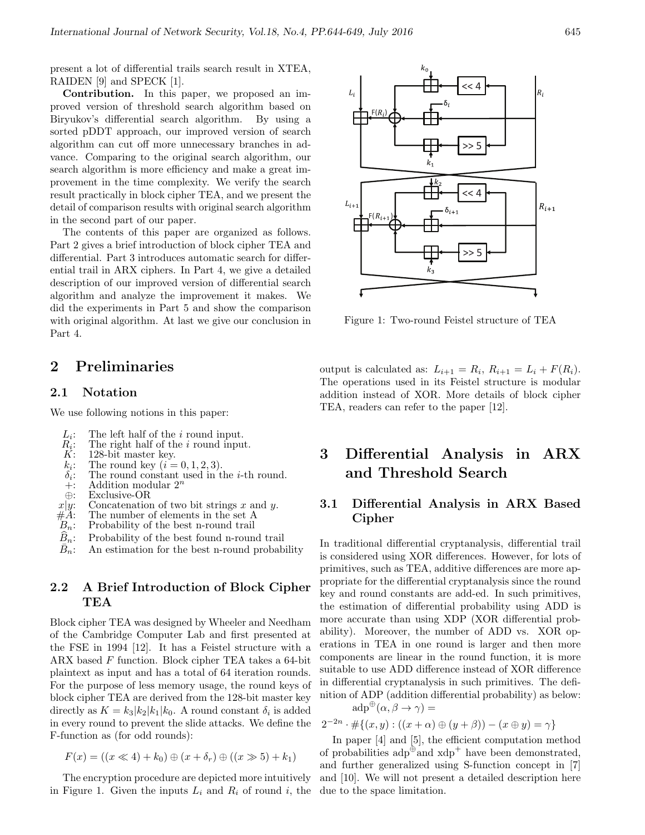present a lot of differential trails search result in XTEA, RAIDEN [9] and SPECK [1].

Contribution. In this paper, we proposed an improved version of threshold search algorithm based on Biryukov's differential search algorithm. By using a sorted pDDT approach, our improved version of search algorithm can cut off more unnecessary branches in advance. Comparing to the original search algorithm, our search algorithm is more efficiency and make a great improvement in the time complexity. We verify the search result practically in block cipher TEA, and we present the detail of comparison results with original search algorithm in the second part of our paper.

The contents of this paper are organized as follows. Part 2 gives a brief introduction of block cipher TEA and differential. Part 3 introduces automatic search for differential trail in ARX ciphers. In Part 4, we give a detailed description of our improved version of differential search algorithm and analyze the improvement it makes. We did the experiments in Part 5 and show the comparison with original algorithm. At last we give our conclusion in Part 4.

# 2 Preliminaries

#### 2.1 Notation

We use following notions in this paper:

- $L_i$ : The left half of the *i* round input.
- $\mathop{R_i}\limits^{\mathbf{r}}$ : The right half of the *i* round input.
- 128-bit master key.
- $k_i$ : The round key  $(i = 0, 1, 2, 3)$ .
- $\delta_i$ :<br>+: The round constant used in the *i*-th round.
- +: Addition modular  $2^n$ <br>  $\oplus$ : Exclusive-OR
- Exclusive-OR
- $x|y$ : Concatenation of two bit strings x and y.<br>#A: The number of elements in the set A
- $#A:$  The number of elements in the set A  $B_n$ : Probability of the best n-round trail
- Probability of the best n-round trail
- $\widehat{B}_n$ : Probability of the best found n-round trail
- $B_n$ : An estimation for the best n-round probability

### 2.2 A Brief Introduction of Block Cipher TEA

Block cipher TEA was designed by Wheeler and Needham of the Cambridge Computer Lab and first presented at the FSE in 1994 [12]. It has a Feistel structure with a ARX based F function. Block cipher TEA takes a 64-bit plaintext as input and has a total of 64 iteration rounds. For the purpose of less memory usage, the round keys of block cipher TEA are derived from the 128-bit master key directly as  $K = k_3 |k_2| k_1 |k_0$ . A round constant  $\delta_i$  is added in every round to prevent the slide attacks. We define the F-function as (for odd rounds):

$$
F(x) = ((x \ll 4) + k_0) \oplus (x + \delta_r) \oplus ((x \gg 5) + k_1)
$$

The encryption procedure are depicted more intuitively in Figure 1. Given the inputs  $L_i$  and  $R_i$  of round i, the due to the space limitation.



Figure 1: Two-round Feistel structure of TEA

output is calculated as:  $L_{i+1} = R_i, R_{i+1} = L_i + F(R_i)$ . The operations used in its Feistel structure is modular addition instead of XOR. More details of block cipher TEA, readers can refer to the paper [12].

# 3 Differential Analysis in ARX and Threshold Search

### 3.1 Differential Analysis in ARX Based Cipher

In traditional differential cryptanalysis, differential trail is considered using XOR differences. However, for lots of primitives, such as TEA, additive differences are more appropriate for the differential cryptanalysis since the round key and round constants are add-ed. In such primitives, the estimation of differential probability using ADD is more accurate than using XDP (XOR differential probability). Moreover, the number of ADD vs. XOR operations in TEA in one round is larger and then more components are linear in the round function, it is more suitable to use ADD difference instead of XOR difference in differential cryptanalysis in such primitives. The definition of ADP (addition differential probability) as below:

 $\mathrm{adp}^{\oplus}(\alpha, \beta \to \gamma) =$ 

$$
2^{-2n} \cdot \# \{ (x, y) : ((x + \alpha) \oplus (y + \beta)) - (x \oplus y) = \gamma \}
$$

In paper [4] and [5], the efficient computation method of probabilities  $\text{adp}^{\oplus}$  and  $\text{xdp}^+$  have been demonstrated, and further generalized using S-function concept in [7] and [10]. We will not present a detailed description here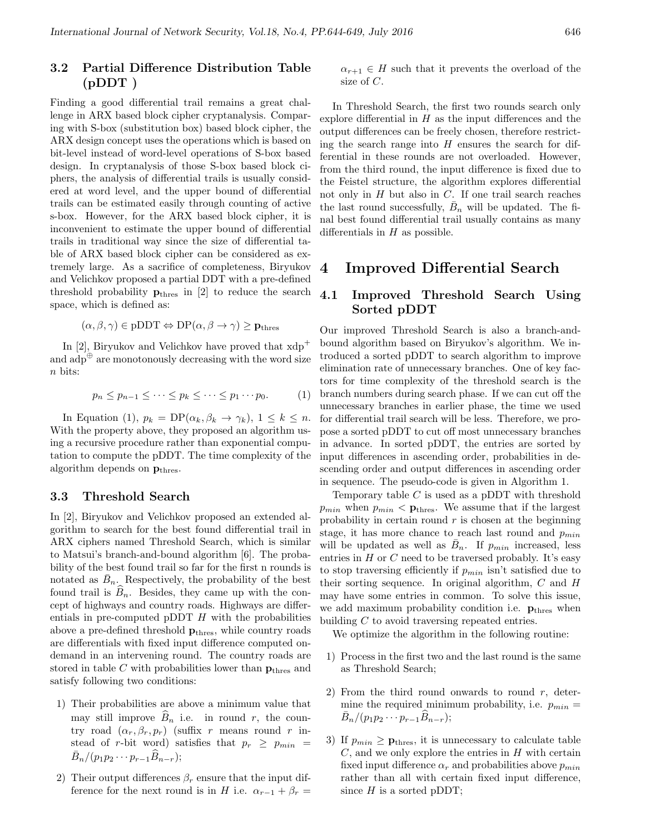### 3.2 Partial Difference Distribution Table  $(pDDT)$

Finding a good differential trail remains a great challenge in ARX based block cipher cryptanalysis. Comparing with S-box (substitution box) based block cipher, the ARX design concept uses the operations which is based on bit-level instead of word-level operations of S-box based design. In cryptanalysis of those S-box based block ciphers, the analysis of differential trails is usually considered at word level, and the upper bound of differential trails can be estimated easily through counting of active s-box. However, for the ARX based block cipher, it is inconvenient to estimate the upper bound of differential trails in traditional way since the size of differential table of ARX based block cipher can be considered as extremely large. As a sacrifice of completeness, Biryukov and Velichkov proposed a partial DDT with a pre-defined threshold probability  $\mathbf{p}_{\text{thres}}$  in [2] to reduce the search space, which is defined as:

$$
(\alpha, \beta, \gamma) \in \text{pDDT} \Leftrightarrow \text{DP}(\alpha, \beta \to \gamma) \ge \mathbf{p}_{\text{thres}}
$$

In [2], Biryukov and Velichkov have proved that  $xdp^+$ and  $\overrightarrow{adp}^{\oplus}$  are monotonously decreasing with the word size  $n$  bits:

$$
p_n \le p_{n-1} \le \cdots \le p_k \le \cdots \le p_1 \cdots p_0. \tag{1}
$$

In Equation (1),  $p_k = DP(\alpha_k, \beta_k \to \gamma_k)$ ,  $1 \leq k \leq n$ . With the property above, they proposed an algorithm using a recursive procedure rather than exponential computation to compute the pDDT. The time complexity of the algorithm depends on  $p_{thres}$ .

#### 3.3 Threshold Search

In [2], Biryukov and Velichkov proposed an extended algorithm to search for the best found differential trail in ARX ciphers named Threshold Search, which is similar to Matsui's branch-and-bound algorithm [6]. The probability of the best found trail so far for the first n rounds is notated as  $\bar{B}_n$ . Respectively, the probability of the best found trail is  $B_n$ . Besides, they came up with the concept of highways and country roads. Highways are differentials in pre-computed pDDT  $H$  with the probabilities above a pre-defined threshold  $p_{thres}$ , while country roads are differentials with fixed input difference computed ondemand in an intervening round. The country roads are stored in table C with probabilities lower than  $p_{thres}$  and satisfy following two conditions:

- 1) Their probabilities are above a minimum value that may still improve  $\widehat{B}_n$  i.e. in round r, the country road  $(\alpha_r, \beta_r, p_r)$  (suffix r means round r instead of r-bit word) satisfies that  $p_r \geq p_{min}$  $\bar{B}_n/(p_1p_2\cdots p_{r-1}\widehat{B}_{n-r});$
- 2) Their output differences  $\beta_r$  ensure that the input difference for the next round is in H i.e.  $\alpha_{r-1} + \beta_r =$

 $\alpha_{r+1} \in H$  such that it prevents the overload of the size of C.

In Threshold Search, the first two rounds search only explore differential in  $H$  as the input differences and the output differences can be freely chosen, therefore restricting the search range into  $H$  ensures the search for differential in these rounds are not overloaded. However, from the third round, the input difference is fixed due to the Feistel structure, the algorithm explores differential not only in  $H$  but also in  $C$ . If one trail search reaches the last round successfully,  $\bar{B}_n$  will be updated. The final best found differential trail usually contains as many differentials in  $H$  as possible.

### 4 Improved Differential Search

### 4.1 Improved Threshold Search Using Sorted pDDT

Our improved Threshold Search is also a branch-andbound algorithm based on Biryukov's algorithm. We introduced a sorted pDDT to search algorithm to improve elimination rate of unnecessary branches. One of key factors for time complexity of the threshold search is the branch numbers during search phase. If we can cut off the unnecessary branches in earlier phase, the time we used for differential trail search will be less. Therefore, we propose a sorted pDDT to cut off most unnecessary branches in advance. In sorted pDDT, the entries are sorted by input differences in ascending order, probabilities in descending order and output differences in ascending order in sequence. The pseudo-code is given in Algorithm 1.

Temporary table  $C$  is used as a pDDT with threshold  $p_{min}$  when  $p_{min} <$  **p**<sub>thres</sub>. We assume that if the largest probability in certain round  $r$  is chosen at the beginning stage, it has more chance to reach last round and  $p_{min}$ will be updated as well as  $\bar{B}_n$ . If  $p_{min}$  increased, less entries in  $H$  or  $C$  need to be traversed probably. It's easy to stop traversing efficiently if  $p_{min}$  isn't satisfied due to their sorting sequence. In original algorithm,  $C$  and  $H$ may have some entries in common. To solve this issue, we add maximum probability condition i.e.  $p_{\text{thres}}$  when building C to avoid traversing repeated entries.

We optimize the algorithm in the following routine:

- 1) Process in the first two and the last round is the same as Threshold Search;
- 2) From the third round onwards to round  $r$ , determine the required minimum probability, i.e.  $p_{min}$  =  $\bar{B}_n/(p_1p_2\cdots p_{r-1}\widehat{B}_{n-r});$
- 3) If  $p_{min} \ge \mathbf{p}_{thres}$ , it is unnecessary to calculate table  $C$ , and we only explore the entries in  $H$  with certain fixed input difference  $\alpha_r$  and probabilities above  $p_{min}$ rather than all with certain fixed input difference, since  $H$  is a sorted pDDT;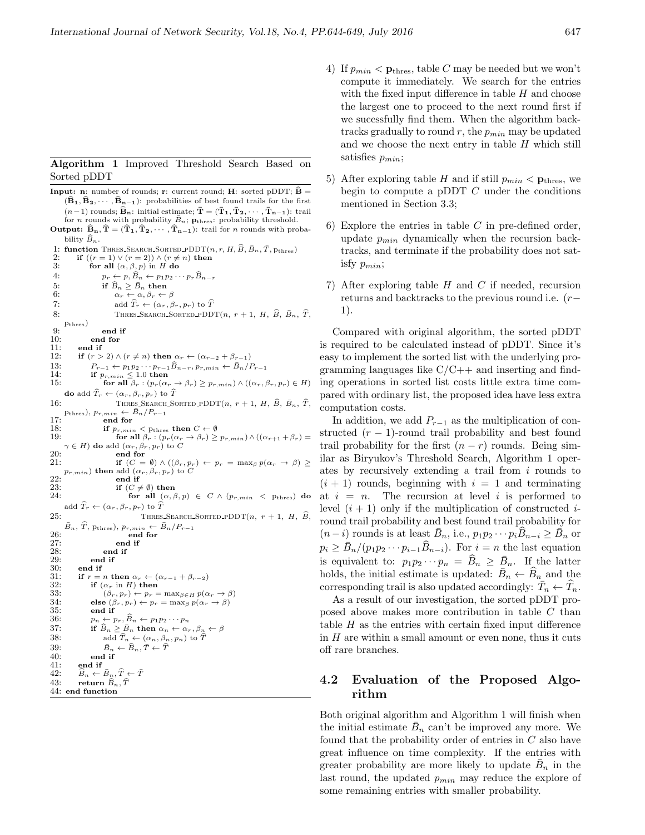#### Algorithm 1 Improved Threshold Search Based on Sorted pDDT

**Input: n**: number of rounds; **r**: current round; **H**: sorted pDDT;  $\hat{\mathbf{B}} =$  $(\widehat{B}_1, \widehat{B}_2, \cdots, \widehat{B}_{n-1})$ : probabilities of best found trails for the first  $(n-1)$  rounds;  $\widehat{\mathbf{B}}_{n}$ : initial estimate;  $\bar{\mathbf{T}} = (\bar{\mathbf{T}}_1, \bar{\mathbf{T}}_2, \cdots, \bar{\mathbf{T}}_{n-1})$ : trail for *n* rounds with probability  $\bar{B}_n$ ;  $\mathbf{p}_{thres}$ : probability threshold. Output:  $\widehat{B}_n$ ,  $\widehat{T} = (\widehat{T}_1, \widehat{T}_2, \cdots, \widehat{T}_{n-1})$ : trail for *n* rounds with probability  $\widehat{B}_n$ . 1: function THRES-SEARCH-SORTED-PDDT $(n, r, H, \hat{B}, \bar{B}_n, \bar{T}, p_{thres})$ <br>2: if  $((r = 1) \vee (r = 2)) \wedge (r \neq n)$  then 2: if  $((r = 1) \lor (r = 2)) \land (r \neq n)$  then<br>3: for all  $(\alpha, \beta, p)$  in H do for all  $(\alpha, \beta, p)$  in H do 4:  $p_r \leftarrow p, \widehat{B}_n \leftarrow p_1 p_2 \cdots p_r \widehat{B}_{n-r}$ <br>5: if  $\widehat{B}_n > \overline{B}_n$  then 5: if  $\widehat{B}_n \geq \overline{B}_n$  then<br>6:  $\alpha_r \leftarrow \alpha, \beta_r \leftarrow$  $\alpha_r \leftarrow \alpha, \beta_r \leftarrow \beta$ 7: add  $\widehat{T}_r \leftarrow (\alpha_r, \beta_r, p_r)$  to  $\widehat{T}$ <br>8: THRES\_SEARCH\_SORTED\_PDD' THRES\_SEARCH\_SORTED\_PDDT $(n, r + 1, H, \widehat{B}, \overline{B}_n, \widehat{T})$ , pthres)  $9:$  end if<br>10: end for 10: end for<br>11: end if 11: end if<br>12: if  $(r >$ if  $(r > 2) \wedge (r \neq n)$  then  $\alpha_r \leftarrow (\alpha_{r-2} + \beta_{r-1})$ 13:  $P_{r-1} \leftarrow p_1 p_2 \cdots p_{r-1} \widehat{B}_{n-r}, p_{r,min} \leftarrow \widehat{B}_n / P_{r-1}$ <br>14: **if**  $p_{r,min} \leq 1.0$  then 15: for all  $\beta_r$  :  $(p_r(\alpha_r \to \beta_r) \geq p_{r,min}) \wedge ((\alpha_r, \beta_r, p_r) \in H)$ do add $\widehat T_r \leftarrow (\alpha_r, \beta_r, p_r)$  to  $\widehat T$ 16: THRES\_SEARCH\_SORTED\_PDDT(n,  $r + 1$ , H,  $\hat{B}$ ,  $\bar{B}_n$ ,  $\hat{T}$ , Pthres),  $p_{r,min} \leftarrow \bar{B}_n / P_{r-1}$ <br>17: **end for** 18: **if**  $p_{r,min} < p_{thres}$  **then**  $C \leftarrow \emptyset$ <br>19: **for all**  $\beta_r : (p_r(\alpha_r \rightarrow \beta_r) \geq p_{r,min}) \wedge ((\alpha_{r+1} + \beta_r) =$  $\in$  H) do add  $(\alpha_r, \beta_r, p_r)$  to C 20:  $20:$  end for end for  $21:$  if  $(C =$ if  $(C = \emptyset) \wedge ((\beta_r, p_r) \leftarrow p_r = \max_{\beta} p(\alpha_r \rightarrow \beta) \ge$  $p_{r,min})$  then add  $(\alpha_r,\beta_r,p_r)$  to  $C$ 22:  $23:$  end if<br>23:  $\qquad \qquad$  if  $(C \neq$ 23: if  $(C \neq \emptyset)$  then<br>24: for all  $(\alpha, \beta)$ for all  $(\alpha, \beta, p) \in C \wedge (p_{r,min} < p_{thres})$  do add  $\widehat{T}_r \leftarrow (\alpha_r, \beta_r, p_r)$  to  $\widehat{T}$ 25: THRES\_SEARCH\_SORTED\_PDDT $(n, r + 1, H, \widehat{B})$  $\bar{B}_n$ ,  $\hat{T}$ , p<sub>thres</sub>),  $p_{r,min} \leftarrow \bar{B}_n/P_{r-1}$ 26: end for<br>
27: end if  $27:$  end if  $28:$  end if  $28:$  end if  $29:$  end if 29: end if 30: end if<br>31: if  $r =$ 31: if  $r = n$  then  $\alpha_r \leftarrow (\alpha_{r-1} + \beta_{r-2})$ <br>32: if  $(\alpha_r \text{ in } H)$  then 32: if  $(\alpha_r \text{ in } H)$  then<br>33:  $(\beta_r, p_r) \leftarrow p_r =$  $(\beta_r, p_r) \leftarrow p_r = \max_{\beta \in H} p(\alpha_r \rightarrow \beta)$ 34: else  $(\beta_r, p_r) \leftarrow p_r = \max_{\beta} p(\alpha_r \rightarrow \beta)$ <br>35: end if 35: end if<br>36:  $n_n \leftarrow r$ 36:  $p_n \leftarrow p_r$ ,  $\widehat{B}_n \leftarrow p_1 p_2 \cdots p_n$ <br>37: if  $\widehat{B}_n > \overline{B}_n$  then  $\alpha_n \leftarrow \alpha_n$ 37: if  $\widehat{B}_n \geq \overline{B}_n$  then  $\alpha_n \leftarrow \alpha_r, \beta_n \leftarrow \beta$ <br>38: add  $\widehat{T}_n \leftarrow (\alpha_n, \beta_n, p_n)$  to  $\widehat{T}$ 38: add  $\widehat{T}_n \leftarrow (\alpha_n, \beta_n, p_n)$  to  $\widehat{T}$ 39:  $\bar{B}_n \leftarrow \widehat{B}_n, \bar{T} \leftarrow \widehat{T}$ 40: end if<br>41: end if 41: end if<br>42:  $\widehat{B}_n \leftarrow$ 42:  $\widehat{B}_n \leftarrow \overline{B}_n, \widehat{T} \leftarrow \overline{T}$ <br>43: return  $\widehat{B}_n, \widehat{T}$ return  $\widehat{B}_n, \widehat{T}$ 44: end function

- 4) If  $p_{min} < \mathbf{p}_{thres}$ , table C may be needed but we won't compute it immediately. We search for the entries with the fixed input difference in table  $H$  and choose the largest one to proceed to the next round first if we sucessfully find them. When the algorithm backtracks gradually to round  $r$ , the  $p_{min}$  may be updated and we choose the next entry in table  $H$  which still satisfies  $p_{min}$ ;
- 5) After exploring table H and if still  $p_{min} < \mathbf{p}_{thres}$ , we begin to compute a pDDT  $C$  under the conditions mentioned in Section 3.3;
- 6) Explore the entries in table  $C$  in pre-defined order, update  $p_{min}$  dynamically when the recursion backtracks, and terminate if the probability does not satisfy  $p_{min}$ ;
- 7) After exploring table  $H$  and  $C$  if needed, recursion returns and backtracks to the previous round i.e. (r− 1).

Compared with original algorithm, the sorted pDDT is required to be calculated instead of pDDT. Since it's easy to implement the sorted list with the underlying programming languages like  $C/C++$  and inserting and finding operations in sorted list costs little extra time compared with ordinary list, the proposed idea have less extra computation costs.

In addition, we add  $P_{r-1}$  as the multiplication of constructed  $(r-1)$ -round trail probability and best found trail probability for the first  $(n - r)$  rounds. Being similar as Biryukov's Threshold Search, Algorithm 1 operates by recursively extending a trail from i rounds to  $(i + 1)$  rounds, beginning with  $i = 1$  and terminating at  $i = n$ . The recursion at level i is performed to level  $(i + 1)$  only if the multiplication of constructed *i*round trail probability and best found trail probability for  $(n-i)$  rounds is at least  $\bar{B}_n$ , i.e.,  $p_1p_2\cdots p_i\widehat{B}_{n-i} \geq \bar{B}_n$  or  $p_i \geq \bar{B}_n/(p_1 p_2 \cdots p_{i-1} \widehat{B}_{n-i}).$  For  $i = n$  the last equation is equivalent to:  $p_1 p_2 \cdots p_n = \widehat{B}_n \ge \overline{B}_n$ . If the latter holds, the initial estimate is updated:  $\overline{B}_n \leftarrow \widehat{B}_n$  and the corresponding trail is also updated accordingly:  $\overline{T}_n \leftarrow \widehat{T}_n$ .

As a result of our investigation, the sorted pDDT proposed above makes more contribution in table C than table  $H$  as the entries with certain fixed input difference in  $H$  are within a small amount or even none, thus it cuts off rare branches.

### 4.2 Evaluation of the Proposed Algorithm

Both original algorithm and Algorithm 1 will finish when the initial estimate  $\bar{B}_n$  can't be improved any more. We found that the probability order of entries in C also have great influence on time complexity. If the entries with greater probability are more likely to update  $\bar{B}_n$  in the last round, the updated  $p_{min}$  may reduce the explore of some remaining entries with smaller probability.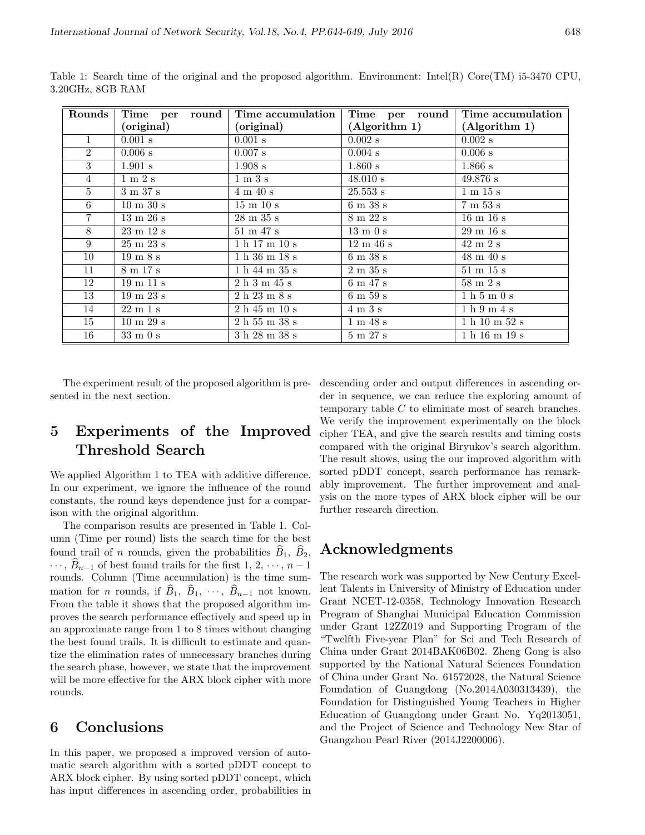| Rounds         | Time per<br>round            | Time accumulation            | Time per<br>round            | Time accumulation            |
|----------------|------------------------------|------------------------------|------------------------------|------------------------------|
|                | (original)                   | (original)                   | (Algorithm 1)                | (Algorithm 1)                |
| $\mathbf{1}$   | $0.001$ s                    | $0.001$ s                    | $0.002$ s                    | $0.002$ s                    |
| $\overline{2}$ | 0.006 s                      | $0.007$ s                    | $0.004$ s                    | 0.006 s                      |
| 3              | $1.901$ s                    | $1.908$ s                    | $1.860$ s                    | $1.866$ s                    |
| $\overline{4}$ | $1 \text{ m } 2 \text{ s}$   | $1 \text{ m } 3 \text{ s}$   | 48.010 s                     | 49.876 s                     |
| $5^{\circ}$    | 3 m 37 s                     | $4 \text{ m } 40 \text{ s}$  | 25.553 s                     | $1 \text{ m } 15 \text{ s}$  |
| 6              | $10 \text{ m } 30 \text{ s}$ | $15 \text{ m } 10 \text{ s}$ | $6 \text{ m } 38 \text{ s}$  | 7m53s                        |
| $7\phantom{.}$ | $13 \text{ m } 26 \text{ s}$ | $28 \text{ m } 35 \text{ s}$ | $8 \text{ m } 22 \text{ s}$  | $16 \text{ m } 16 \text{ s}$ |
| 8              | $23 \text{ m } 12 \text{ s}$ | $51 \text{ m } 47 \text{ s}$ | $13 \text{ m}$ 0 s           | $29 \text{ m } 16 \text{ s}$ |
| 9              | $25 \text{ m } 23 \text{ s}$ | 1 h 17 m 10 s                | $12 \text{ m } 46 \text{ s}$ | $42 \text{ m } 2 \text{ s}$  |
| 10             | $19 \text{ m } 8 \text{ s}$  | 1 h 36 m 18 s                | $6 \text{ m } 38 \text{ s}$  | $48 \text{ m } 40 \text{ s}$ |
| 11             | 8 m 17 s                     | 1 h 44 m 35 s                | $2 \text{ m } 35 \text{ s}$  | $51\ \text{m}\ 15\ \text{s}$ |
| 12             | $19 \text{ m } 11 \text{ s}$ | $2h 3m 45s$                  | 6m47s                        | $58 \text{ m } 2 \text{ s}$  |
| 13             | $19 \text{ m } 23 \text{ s}$ | 2h23m8s                      | $6 \text{ m } 59 \text{ s}$  | 1h5m0s                       |
| 14             | $22 \text{ m } 1 \text{ s}$  | 2h45m10s                     | $4 \text{ m } 3 \text{ s}$   | 1 h 9 m 4 s                  |
| 15             | $\overline{10}$ m 29 s       | 2h55m38s                     | 1 m 48 s                     | 1 h 10 m 52 s                |
| 16             | $33 \text{ m}$ 0 s           | 3 h 28 m 38 s                | 5m27s                        | 1 h 16 m 19 s                |

Table 1: Search time of the original and the proposed algorithm. Environment: Intel(R) Core(TM) i5-3470 CPU, 3.20GHz, 8GB RAM

The experiment result of the proposed algorithm is presented in the next section.

# 5 Experiments of the Improved Threshold Search

We applied Algorithm 1 to TEA with additive difference. In our experiment, we ignore the influence of the round constants, the round keys dependence just for a comparison with the original algorithm.

The comparison results are presented in Table 1. Column (Time per round) lists the search time for the best found trail of *n* rounds, given the probabilities  $\widehat{B}_1$ ,  $\widehat{B}_2$ ,  $\cdots$ ,  $\widehat{B}_{n-1}$  of best found trails for the first 1, 2,  $\cdots$ , n − 1 rounds. Column (Time accumulation) is the time summation for *n* rounds, if  $\widehat{B}_1$ ,  $\widehat{B}_1$ ,  $\cdots$ ,  $\widehat{B}_{n-1}$  not known. From the table it shows that the proposed algorithm improves the search performance effectively and speed up in an approximate range from 1 to 8 times without changing the best found trails. It is difficult to estimate and quantize the elimination rates of unnecessary branches during the search phase, however, we state that the improvement will be more effective for the ARX block cipher with more rounds.

# 6 Conclusions

In this paper, we proposed a improved version of automatic search algorithm with a sorted pDDT concept to ARX block cipher. By using sorted pDDT concept, which has input differences in ascending order, probabilities in

descending order and output differences in ascending order in sequence, we can reduce the exploring amount of temporary table  $C$  to eliminate most of search branches. We verify the improvement experimentally on the block cipher TEA, and give the search results and timing costs compared with the original Biryukov's search algorithm. The result shows, using the our improved algorithm with sorted pDDT concept, search performance has remarkably improvement. The further improvement and analysis on the more types of ARX block cipher will be our further research direction.

# Acknowledgments

The research work was supported by New Century Excellent Talents in University of Ministry of Education under Grant NCET-12-0358, Technology Innovation Research Program of Shanghai Municipal Education Commission under Grant 12ZZ019 and Supporting Program of the "Twelfth Five-year Plan" for Sci and Tech Research of China under Grant 2014BAK06B02. Zheng Gong is also supported by the National Natural Sciences Foundation of China under Grant No. 61572028, the Natural Science Foundation of Guangdong (No.2014A030313439), the Foundation for Distinguished Young Teachers in Higher Education of Guangdong under Grant No. Yq2013051, and the Project of Science and Technology New Star of Guangzhou Pearl River (2014J2200006).